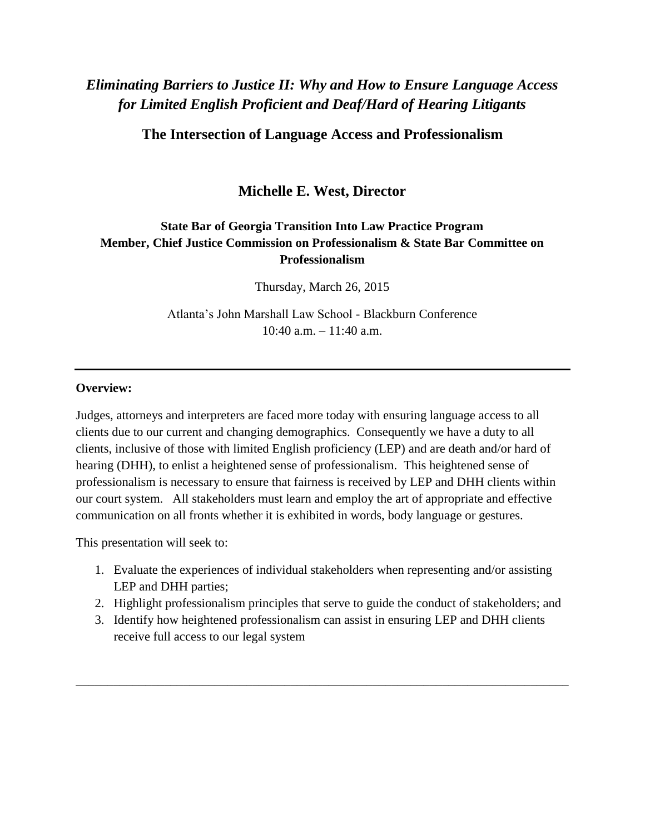# *Eliminating Barriers to Justice II: Why and How to Ensure Language Access for Limited English Proficient and Deaf/Hard of Hearing Litigants*

**The Intersection of Language Access and Professionalism**

**Michelle E. West, Director**

# **State Bar of Georgia Transition Into Law Practice Program Member, Chief Justice Commission on Professionalism & State Bar Committee on Professionalism**

Thursday, March 26, 2015

Atlanta's John Marshall Law School - Blackburn Conference 10:40 a.m. – 11:40 a.m.

#### **Overview:**

Judges, attorneys and interpreters are faced more today with ensuring language access to all clients due to our current and changing demographics. Consequently we have a duty to all clients, inclusive of those with limited English proficiency (LEP) and are death and/or hard of hearing (DHH), to enlist a heightened sense of professionalism. This heightened sense of professionalism is necessary to ensure that fairness is received by LEP and DHH clients within our court system. All stakeholders must learn and employ the art of appropriate and effective communication on all fronts whether it is exhibited in words, body language or gestures.

This presentation will seek to:

- 1. Evaluate the experiences of individual stakeholders when representing and/or assisting LEP and DHH parties;
- 2. Highlight professionalism principles that serve to guide the conduct of stakeholders; and
- 3. Identify how heightened professionalism can assist in ensuring LEP and DHH clients receive full access to our legal system

\_\_\_\_\_\_\_\_\_\_\_\_\_\_\_\_\_\_\_\_\_\_\_\_\_\_\_\_\_\_\_\_\_\_\_\_\_\_\_\_\_\_\_\_\_\_\_\_\_\_\_\_\_\_\_\_\_\_\_\_\_\_\_\_\_\_\_\_\_\_\_\_\_\_\_\_\_\_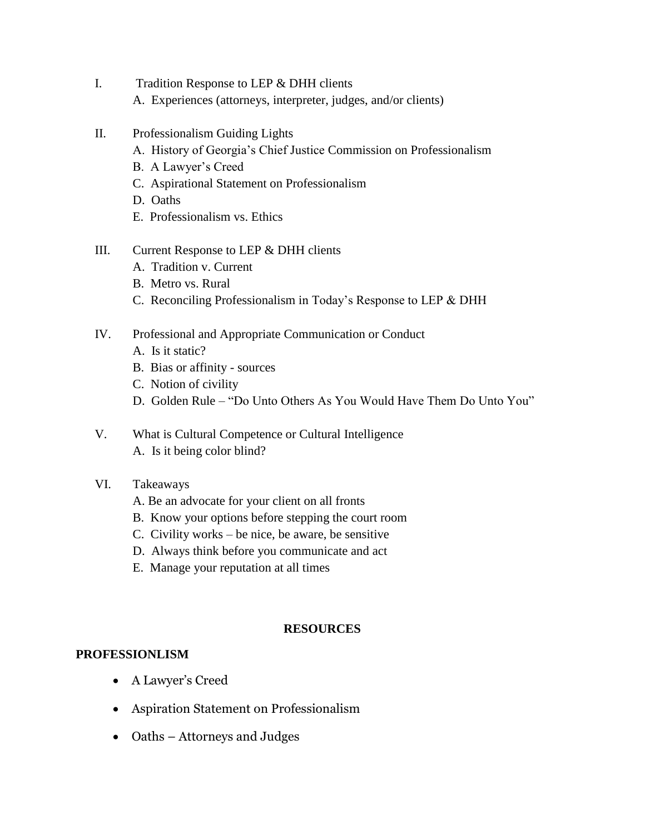- I. Tradition Response to LEP & DHH clients A. Experiences (attorneys, interpreter, judges, and/or clients)
- II. Professionalism Guiding Lights
	- A. History of Georgia's Chief Justice Commission on Professionalism
	- B. A Lawyer's Creed
	- C. Aspirational Statement on Professionalism
	- D. Oaths
	- E. Professionalism vs. Ethics

#### III. Current Response to LEP & DHH clients

- A. Tradition v. Current
- B. Metro vs. Rural
- C. Reconciling Professionalism in Today's Response to LEP & DHH
- IV. Professional and Appropriate Communication or Conduct
	- A. Is it static?
	- B. Bias or affinity sources
	- C. Notion of civility
	- D. Golden Rule "Do Unto Others As You Would Have Them Do Unto You"
- V. What is Cultural Competence or Cultural Intelligence A. Is it being color blind?

#### VI. Takeaways

- A. Be an advocate for your client on all fronts
- B. Know your options before stepping the court room
- C. Civility works be nice, be aware, be sensitive
- D. Always think before you communicate and act
- E. Manage your reputation at all times

#### **RESOURCES**

#### **PROFESSIONLISM**

- A Lawyer's Creed
- Aspiration Statement on Professionalism
- Oaths Attorneys and Judges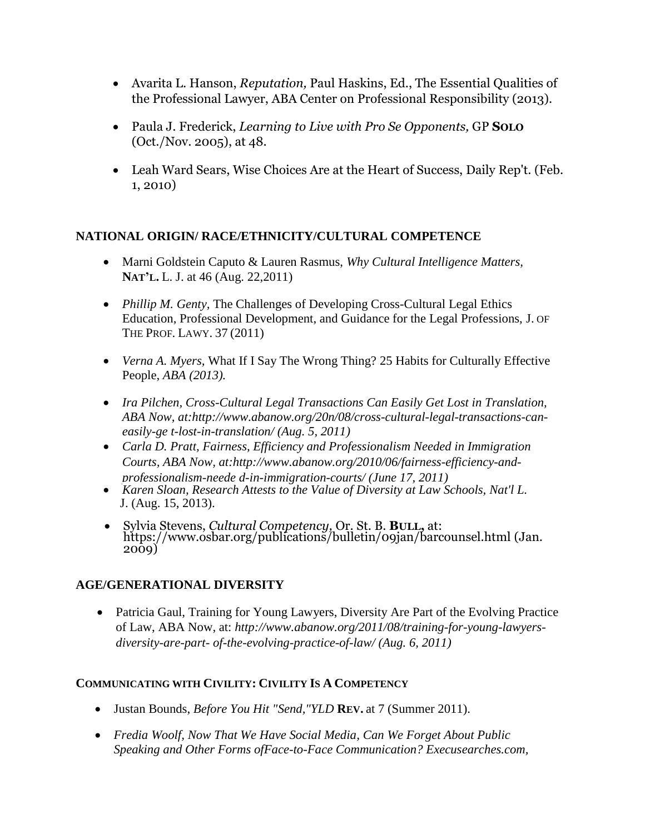- Avarita L. Hanson, *Reputation,* Paul Haskins, Ed., The Essential Qualities of the Professional Lawyer, ABA Center on Professional Responsibility (2013).
- Paula J. Frederick, *Learning to Live with Pro Se Opponents,* GP **SOLO**  (Oct./Nov. 2005), at 48.
- Leah Ward Sears, Wise Choices Are at the Heart of Success, Daily Rep't. (Feb. 1, 2010)

# **NATIONAL ORIGIN/ RACE/ETHNICITY/CULTURAL COMPETENCE**

- Marni Goldstein Caputo & Lauren Rasmus, *Why Cultural Intelligence Matters,*  **NAT'L.** L. J. at 46 (Aug. 22,2011)
- *Phillip M. Genty, The Challenges of Developing Cross-Cultural Legal Ethics* Education, Professional Development, and Guidance for the Legal Professions, J. OF THE PROF. LAWY. 37 (2011)
- *Verna A. Myers,* What If I Say The Wrong Thing? 25 Habits for Culturally Effective People, *ABA (2013).*
- *Ira Pilchen, Cross-Cultural Legal Transactions Can Easily Get Lost in Translation, ABA Now, at[:http://www.abanow.org/20n/08/cross-cultural-legal-transactions-can](http://www.abanow.org/20n/08/cross-cultural-legal-transactions-can-easily-ge)[easily-ge](http://www.abanow.org/20n/08/cross-cultural-legal-transactions-can-easily-ge) t-lost-in-translation/ (Aug. 5, 2011)*
- *Carla D. Pratt, Fairness, Efficiency and Professionalism Needed in Immigration Courts, ABA Now, at[:http://www.abanow.org/2010/06/fairness-efficiency-and](http://www.abanow.org/2010/06/fairness-efficiency-and-professionalism-neede)[professionalism-neede](http://www.abanow.org/2010/06/fairness-efficiency-and-professionalism-neede) d-in-immigration-courts/ (June 17, 2011)*
- *Karen Sloan, Research Attests to the Value of Diversity at Law Schools, Nat'l L.* J. (Aug. 15, 2013).
- Sylvia Stevens, *Cultural Competency,* Or. St. B. **BULL,** at: <https://www.osbar.org/publications/bulletin/09jan/barcounsel.html> (Jan. 2009)

# **AGE/GENERATIONAL DIVERSITY**

• Patricia Gaul, Training for Young Lawyers, Diversity Are Part of the Evolving Practice of Law, ABA Now, at: *[http://www.abanow.org/2011/08/training-for-young-lawyers](http://www.abanow.org/2011/08/training-for-young-lawyers-diversity-are-part-)[diversity-are-part-](http://www.abanow.org/2011/08/training-for-young-lawyers-diversity-are-part-) of-the-evolving-practice-of-law/ (Aug. 6, 2011)*

# **COMMUNICATING WITH CIVILITY: CIVILITY IS A COMPETENCY**

- Justan Bounds, *Before You Hit "Send,"YLD* **REV.** at 7 (Summer 2011).
- *Fredia Woolf, Now That We Have Social Media, Can We Forget About Public Speaking and Other Forms ofFace-to-Face Communication? Execusearches.com,*